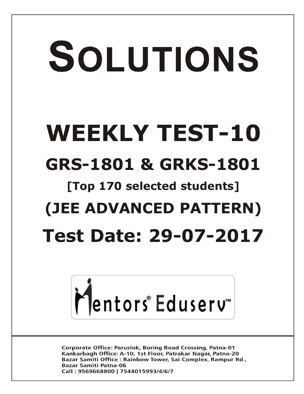# SOLUTIONS **WEEKLY TEST-10 GRS-1801 & GRKS-1801 [Top 170 selected students] (JEE ADVANCED PATTERN) Test Date: 29-07-2017**



**Corporate Office: Paruslok, Boring Road Crossing, Patna-01** Kankarbagh Office: A-10, 1st Floor, Patrakar Nagar, Patna-20 Bazar Samiti Office: Rainbow Tower, Sai Complex, Rampur Rd., **Bazar Samiti Patna-06** Call: 9569668800 | 7544015993/4/6/7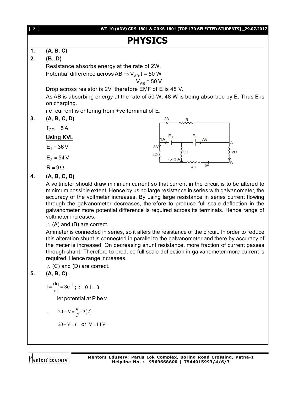

the meter is increased. On decreasing shunt resistance, more fraction of current passes through shunt. Therefore to produce full scale deflection in galvanometer more current is required. Hence range increases.

 $\therefore$  (C) and (D) are correct.

### **5. (A, B, C)**

$$
I = \frac{dq}{dt} = 3e^{-t}
$$
; t = 0 l = 3

let potential at P be v.

$$
\therefore \quad 20 - V = \frac{q}{C} + 3(2)
$$
  
20 - V = 6 or V = 14 V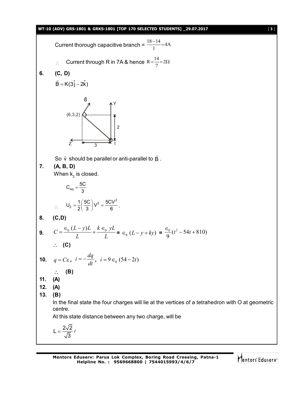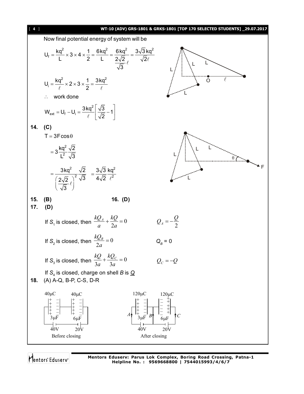

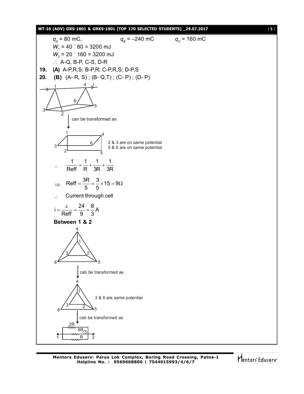



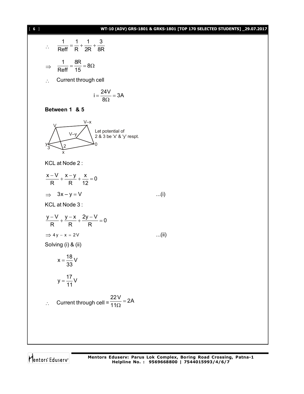#### [ **6** ] **WT-10 (ADV) GRS-1801 & GRKS-1801 [TOP 170 SELECTED STUDENTS] \_29.07.2017**

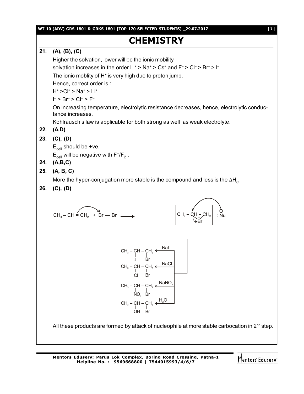**WT-10 (ADV) GRS-1801 & GRKS-1801 [TOP 170 SELECTED STUDENTS] \_29.07.2017** [ **7** ]

# **CHEMISTRY**

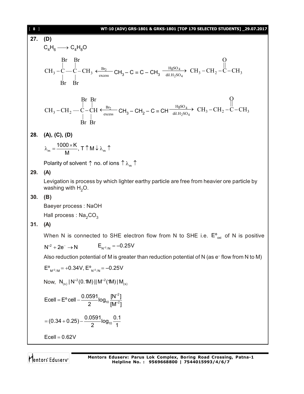18 J

\nWT-10 (ADV) GRS-1801 & GRKS-1801 [TOP 170 SELCTED STUDENTS] \_29.07.2017

\n27. (D)

\n
$$
C_4H_6 \longrightarrow C_4H_8O
$$
\n
$$
\begin{vmatrix}\n\text{Br} & \text{Br} & \text{O} \\
\text{Br} & \text{Br} & \text{Br} & \text{O} \\
\text{Br} & \text{Br} & \text{Br} & \text{O} \\
\text{Br} & \text{Br} & \text{Br} & \text{Br} \\
\text{Br} & \text{Br} & \text{Br} & \text{Br} \\
\text{CH}_3-\text{CH}_2-\text{C}-\text{CH} & \frac{\text{Br}_2}{\text{excess}} & \text{CH}_3-\text{CH}_2-\text{C} \equiv \text{CH} \frac{\text{HgSO}_4}{\text{dil.} \text{H}_2\text{SO}_4} & \text{CH}_3-\text{CH}_2-\text{C}-\text{CH}_3
$$
\n
$$
\begin{vmatrix}\n\text{Br} & \text{Br} & \text{O} \\
\text{Br} & \text{Br} & \text{Br} \\
\text{Br} & \text{Br} & \text{Br} \\
\text{Br} & \text{Br} & \text{Br}\n\end{vmatrix}
$$
\n28. (A), (C), (D)

\n
$$
\lambda_m = \frac{1000 \times \text{K}}{M}, \text{T} \uparrow \text{M} \downarrow \lambda_m \uparrow
$$

Polarity of solvent  $\uparrow$  no. of ions  $\uparrow \uplambda_m \uparrow$ 

#### **29. (A)**

Levigation is process by which lighter earthy particle are free from heavier ore particle by washing with  $H_2O$ .

#### **30. (B)**

Baeyer process : NaOH

Hall process :  $\text{Na}_2\text{CO}_3$ 

#### **31. (A)**

When N is connected to SHE electron flow from N to SHE i.e.  $E^{\circ}_{\text{oxi}}$  of N is positive

 $N^{+2} + 2e^- \rightarrow N$   $E_{N^{+2}/N} = -0.25V$ 

Also reduction potential of M is greater than reduction potential of N (as e– flow from N to M)

$$
E^o_{\ M^{*2}/M} = +0.34 V, \, E^o_{\ N^{*2}/N} = -0.25 V
$$

Now,  $N_{(s)} | N^{+2} (0.1 M) | | M^{+2} (1 M) | M_{(s)}$ 

Ecell = E<sup>o</sup> cell - 
$$
\frac{0.0591}{2} \log_{10} \frac{[N^{+2}]}{[M^{+2}]}
$$

\n= (0.34 + 0.25) - 
$$
\frac{0.0591}{2} \log_{10} \frac{0.1}{1}
$$

\nEcell = 0.62V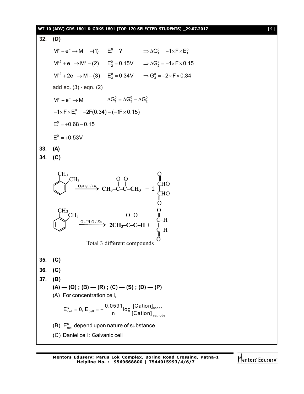#### **WT-10 (ADV) GRS-1801 & GRKS-1801 [TOP 170 SELECTED STUDENTS] \_29.07.2017** [ **9** ]

```
32. (D)
        M^+ + e^- \rightarrow M -(1) E_1^0 = ? \Rightarrow \Delta G_1^0 = -1 \times F \times E_1^0M^{+2} + e^{-} \rightarrow M^{+} - (2) E_{2}^{0} = 0.15V \Rightarrow \Delta G_{2}^{0} = -1 \times F \times 0.15M^{+2} + 2e^- \rightarrow M - (3) E_3^0 = 0.34V \Rightarrow G_3^0 = -2 \times F \times 0.34add eq. (3) - eqn. (2)
        M^+ + e^- \rightarrow M \Delta G_1^0 = \Delta G_3^0 - \Delta G_2^0-1\timesF\timesE_{1}^{0} = -2F(0.34) – (-1F\times0.15)
       E_1^0 = +0.68 - 0.15E_1^0 = +0.53V33. (A)
34. (C)
                       O_3/H_2O/ZnCH3
                                     CH_3-C-C-CH_3 + 2
                  CH3
                                                                      CHO
                                                  O
                        O_3/H_2O / Zn
           \text{CH}_3<sub>CH<sub>3</sub></sub>
                 CH3
                           Total 3 different compounds
                                              O
                                                                      CHO
                                                                      O
                                                                      O
                                         2CH3–C–C–H +
                                                                     C–H
                                                   O O
                                                                     \ddot{\mathrm{o}}O
                                                                     C–H
35. (C)
36. (C)
37. (B)
        (A) — (Q); (B) — (R); (C) — (S); (D) — (P)(A) For concentration cell,
                 \frac{1}{\text{cell}} = 0, E_{cell} = -\frac{0.0391}{n} \log \frac{|\text{Cation}|}{\text{Cation}}cathode
              E_{\text{cell}}^{\circ} = 0, E_{\text{cell}} = -\frac{0.0591}{\log 100}n [Cation]
                     = 0, E_{\text{cell}} = -\frac{1}{2}(B) E_{red}^{o} depend upon nature of substance
        (C) Daniel cell : Galvanic cell
```
Mentors<sup>®</sup> Eduserv<sup>®</sup>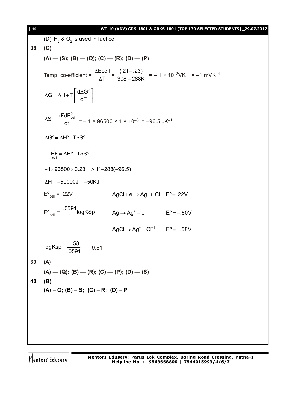#### [ **10** ] **WT-10 (ADV) GRS-1801 & GRKS-1801 [TOP 170 SELECTED STUDENTS] \_29.07.2017**

(D)  $H_2$  &  $O_2$  is used in fuel cell **38. (C)**  $(A)$  —  $(S)$ ;  $(B)$  —  $(Q)$ ;  $(C)$  —  $(R)$ ;  $(D)$  —  $(P)$ Temp. co-efficient = Ecell T  $\Delta$  $\frac{1}{\Delta T}$  =  $(.21-.23)$ 308 – 288K - $\frac{1287}{-288K}$  = -1 × 10<sup>-3</sup>VK<sup>-1</sup> = -1 mVK<sup>-1</sup>  $G = \Delta H + T \frac{d \Delta G^0}{d \Sigma}$ dT  $\Delta G = \Delta H + T \left[ \frac{d \Delta G^0}{dT} \right]$  $S = \frac{nFdE_{cell}^{0}}{n}$  $\Delta S = \frac{m G_{cell}}{dt} = -1 \times 96500 \times 1 \times 10^{-3} = -96.5 \text{ JK}^{-1}$  $\Delta G^{\circ} = \Delta H^{\circ} - T \Delta S^{\circ}$ 0  $-nE_{\text{cell}} = \Delta H^{\text{o}} - T\Delta S^{\text{o}}$  $-1 \times 96500 \times 0.23 = \Delta H^{\circ} - 288(-96.5)$  $\Delta H = -50000J = -50KJ$  $E^{\circ}_{cell}$  = .22V  $AgCl + e \rightarrow Ag^{+} + Cl^{-} E^{\circ} = .22V$  $E^{\circ}_{\text{cell}} = \frac{.0591}{1}$ logKSp  $\frac{36}{1}$ logKSp  $Ag \rightarrow Ag^{+} + e$  E°=-.80V  $AgCl \rightarrow Ag^{+} + Cl^{-1}$   $E^{0} = -.58V$ logKsp =  $\frac{-.58}{0.581}$ .0591  $=\frac{-.58}{.0504}$  = -9.81 **39. (A)**  $(A)$  —  $(Q)$ ;  $(B)$  —  $(R)$ ;  $(C)$  —  $(P)$ ;  $(D)$  —  $(S)$ **40. (B)**  $(A) - Q$ ;  $(B) - S$ ;  $(C) - R$ ;  $(D) - P$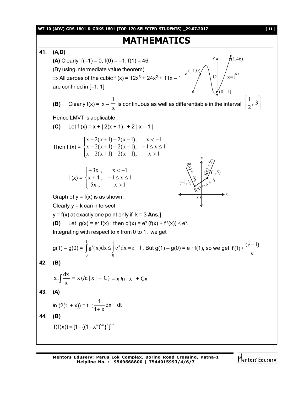**WT-10 (ADV) GRS-1801 & GRKS-1801 [TOP 170 SELECTED STUDENTS] \_29.07.2017** [ **11** ]

## **MATHEMATICS**

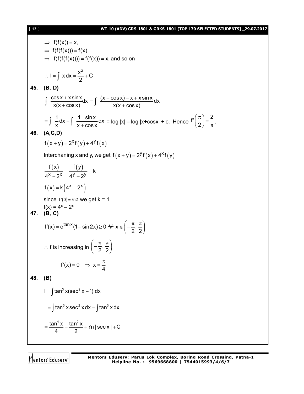#### [ **12** ] **WT-10 (ADV) GRS-1801 & GRKS-1801 [TOP 170 SELECTED STUDENTS] \_29.07.2017**

2

 $\Rightarrow$  f(f(x)) = x,  $\Rightarrow$  f(f(f(x))) = f(x)  $\Rightarrow$   $f(f(f(f(x)))) = f(f(x)) = x$ , and so on  $I = \int x dx = \frac{x^2}{2} + C$  $\therefore$  I =  $\int x dx = \frac{\pi}{2} + 0$ **45. (B, D)**  $\frac{\cos x + x \sin x}{\cos x}dx$  $x(x + cos x)$  $\ddag$  $\int \frac{\cos x + x \sin x}{x(x + \cos x)} dx = \int \frac{(x + \cos x) - x + x \sin x}{x(x + \cos x)} dx$  $x(x + cos x)$  $=\int \frac{(x + \cos x) - x + x}{x}$  $\int \frac{1}{x(x+1)} dx dx + C(x+1)$  $\frac{1}{2}$ dx –  $\int \frac{1-\sin x}{x} dx$  $x^{\cdots}$ ,  $x + \cos x$  $= \int \frac{1}{-} dx - \int \frac{1}{-}$  $\int \frac{1}{x} dx - \int \frac{1-\sin x}{x+\cos x} dx = \log |x| - \log |x+\cos x| + c$ . Hence  $f'\left(\frac{\pi}{2}\right) = \frac{2}{\pi}$  $\sqrt{\frac{\pi}{2}} = \frac{2}{\pi}$ . **46. (A,C,D)**  $f(x + y) = 2^{x} f(y) + 4^{y} f(x)$ Interchaning x and y, we get  $f(x+y) = 2^y f(x) + 4^x f(y)$  $(x)$   $f(y)$  $x - 2x - 12 - 28$  $f(x)$   $f(y)$ k  $4^x - 2^x$   $4^y - 2^y$  $=\frac{1}{1}$  =  $\frac{1}{1}$  $-2^{x}$  4<sup>y</sup>  $-2$  $f(x) = k \left( 4^x - 2^x \right)$ since  $f'(0) = \ln 2$  we get  $k = 1$  $f(x) = 4^x - 2^x$ **47. (B, C)**  $f'(x) = e^{\tan x} (1 - \sin 2x) \ge 0 \forall x \in \left[-\frac{\pi}{2}, \frac{\pi}{2}\right]$  $V(x) = e^{\tan x} (1 - \sin 2x) \ge 0 \forall x \in \left(-\frac{\pi}{2}, \frac{\pi}{2}\right)$  $\therefore$  f is increasing in  $\left(-\frac{\pi}{2},\frac{\pi}{2}\right)$  $\left(-\frac{\pi}{2},\frac{\pi}{2}\right)$  $f'(x) = 0 \Rightarrow x$ 4  $f(x) = 0 \Rightarrow x = \frac{\pi}{4}$ **48. (B)**  $I = \int \tan^3 x(\sec^2 x - 1) dx$  $\mathbf{S} = \int \tan^3 x \sec^2 x dx - \int \tan^3 x dx$  $\frac{\tan^4 x}{\tan^2 x} - \frac{\tan^2 x}{\tan^2 x} + \ln|\sec x| + C$ 4 2  $=\frac{\tan 1}{4} - \frac{\tan 1}{2} + \ln |\sec x| + C$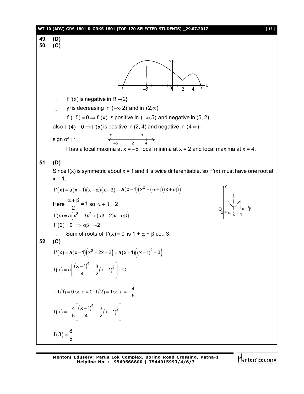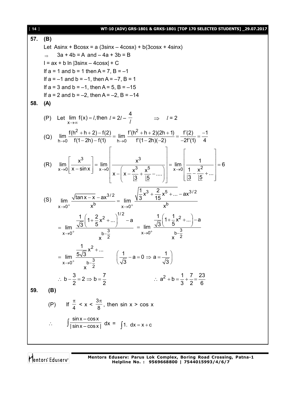| $[14]$ | WT-10 (ADV) GRS-1801 & GRKS-1801 [TOP 170 SELECTED STUDENTS] _29.07.2017                                                                                                                                                                            |  |  |
|--------|-----------------------------------------------------------------------------------------------------------------------------------------------------------------------------------------------------------------------------------------------------|--|--|
| 57.    | (B)                                                                                                                                                                                                                                                 |  |  |
|        | Let Asinx + Bcosx = a $(3\sin x - 4\cos x) + b(3\cos x + 4\sin x)$                                                                                                                                                                                  |  |  |
|        | $3a + 4b = A$ and $-4a + 3b = B$<br>$\Rightarrow$                                                                                                                                                                                                   |  |  |
|        | $I = ax + b \ln  3\sin x - 4\cos x  + C$                                                                                                                                                                                                            |  |  |
|        | If $a = 1$ and $b = 1$ then $A = 7$ , $B = -1$                                                                                                                                                                                                      |  |  |
|        | If $a = -1$ and $b = -1$ , then $A = -7$ , $B = 1$                                                                                                                                                                                                  |  |  |
|        | If $a = 3$ and $b = -1$ , then $A = 5$ , $B = -15$                                                                                                                                                                                                  |  |  |
|        | If $a = 2$ and $b = -2$ , then $A = -2$ , $B = -14$                                                                                                                                                                                                 |  |  |
| 58.    | (A)                                                                                                                                                                                                                                                 |  |  |
|        |                                                                                                                                                                                                                                                     |  |  |
|        | (P) Let $\lim_{x \to \infty} f(x) = l$ , then $l = 2l - \frac{4}{l}$ $\implies l = 2$                                                                                                                                                               |  |  |
|        | (Q) $\lim_{h\to 0} \frac{f(h^2 + h + 2) - f(2)}{f(1-2h) - f(1)} = \lim_{h\to 0} \frac{f'(h^2 + h + 2)(2h + 1)}{f'(1-2h)(-2)} = \frac{f'(2)}{-2f'(1)} = \frac{-1}{4}$                                                                                |  |  |
|        | (R) $\lim_{x\to 0} \left[ \frac{x^3}{x - \sin x} \right] = \lim_{x\to 0} \left  \frac{x^3}{x - \left( x - \frac{x^3}{3} + \frac{x^5}{5} - \dots \right)} \right  = \lim_{x\to 0} \left  \frac{1}{\frac{1}{3} - \frac{x^2}{15} + \dots} \right  = 6$ |  |  |
|        | $\lim_{x \to 0^+} \frac{\sqrt{\tan x - x} - ax^{3/2}}{x^b} = \lim_{x \to 0^+} \frac{\sqrt{\frac{1}{3}x^3 + \frac{2}{15}x^5 + \dots -ax^{3/2}}}{x^b}$<br>(S)<br>$x\rightarrow 0^+$                                                                   |  |  |
|        | $= \lim_{x \to 0^+} \frac{\frac{1}{\sqrt{3}} \left(1 + \frac{2}{5}x^2 + \dots \right)^{1/2} - a}{b - \frac{3}{2}} = \lim_{x \to 0^+} \frac{\frac{1}{\sqrt{3}} \left(1 + \frac{1}{5}x^2 + \dots \right) - a}{b - \frac{3}{2}}$                       |  |  |
|        | = $\lim_{x \to 0^+} \frac{\frac{1}{5\sqrt{3}}x^2 + }{x^{b - \frac{3}{2}}}$ $\left(\frac{1}{\sqrt{3}} - a = 0 \Rightarrow a = \frac{1}{\sqrt{3}}\right)$                                                                                             |  |  |
|        | $\therefore b - \frac{3}{2} = 2 \Rightarrow b = \frac{7}{2}$<br>$\therefore a^2 + b = \frac{1}{3} + \frac{7}{2} = \frac{23}{6}$                                                                                                                     |  |  |
|        |                                                                                                                                                                                                                                                     |  |  |
| 59.    | (B)                                                                                                                                                                                                                                                 |  |  |
|        | (P) If $\frac{\pi}{4}$ < x < $\frac{3\pi}{8}$ , then sin x > cos x                                                                                                                                                                                  |  |  |
|        | $\therefore \int \frac{\sin x - \cos x}{ \sin x - \cos x } dx = \int 1 dx = x + c$                                                                                                                                                                  |  |  |
|        |                                                                                                                                                                                                                                                     |  |  |

Mentors<sup>e</sup> Eduserv<sup>-</sup>